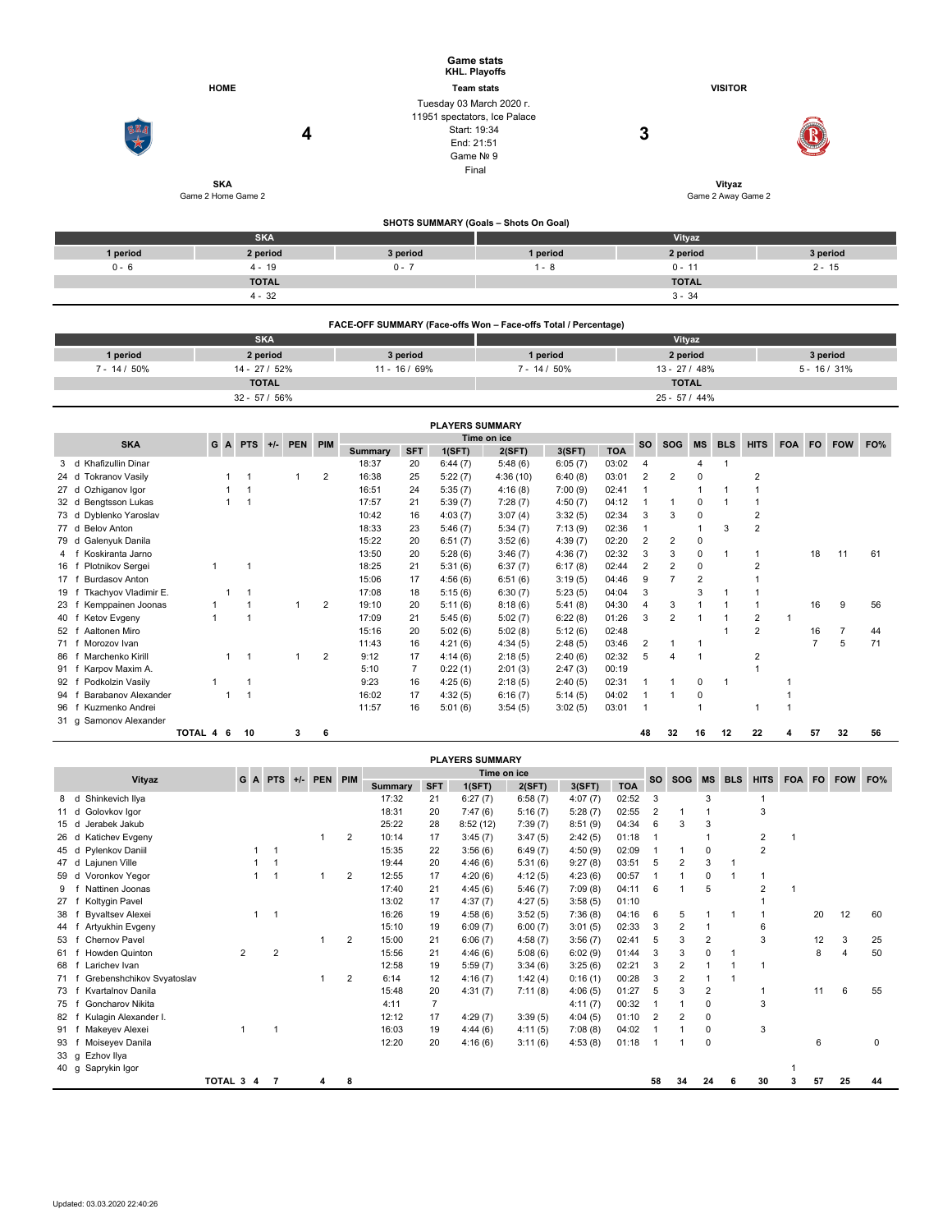|          |                                  | <b>Game stats</b>                                                                                   | KHL. Playoffs                         |                              |          |
|----------|----------------------------------|-----------------------------------------------------------------------------------------------------|---------------------------------------|------------------------------|----------|
|          | <b>HOME</b>                      |                                                                                                     | <b>Team stats</b>                     | <b>VISITOR</b>               |          |
| SKA      | 4                                | Tuesday 03 March 2020 r.<br>11951 spectators, Ice Palace<br>Start: 19:34<br>End: 21:51<br>Game Nº 9 | Final                                 | 3                            |          |
|          | <b>SKA</b><br>Game 2 Home Game 2 |                                                                                                     |                                       | Vityaz<br>Game 2 Away Game 2 |          |
|          |                                  |                                                                                                     |                                       |                              |          |
|          |                                  |                                                                                                     | SHOTS SUMMARY (Goals - Shots On Goal) |                              |          |
|          | <b>SKA</b>                       |                                                                                                     |                                       | Vityaz                       |          |
| 1 period | 2 period                         | 3 period                                                                                            | 1 period                              | 2 period                     | 3 period |
| $0 - 6$  | $4 - 19$                         | $0 - 7$                                                                                             | $1 - 8$                               | $0 - 11$                     | $2 - 15$ |
|          | <b>TOTAL</b>                     |                                                                                                     |                                       | <b>TOTAL</b>                 |          |

|                 | FACE-OFF SUMMARY (Face-offs Won - Face-offs Total / Percentage) |               |                                                  |                |          |  |  |  |  |  |  |  |  |  |
|-----------------|-----------------------------------------------------------------|---------------|--------------------------------------------------|----------------|----------|--|--|--|--|--|--|--|--|--|
|                 | <b>SKA</b>                                                      |               | Vityaz                                           |                |          |  |  |  |  |  |  |  |  |  |
| 1 period        | 2 period                                                        | 3 period      | 1 period                                         | 2 period       | 3 period |  |  |  |  |  |  |  |  |  |
| $7 - 14 / 50\%$ | $14 - 27/52%$                                                   | $11 - 16/69%$ | $7 - 14/50\%$<br>$5 - 16 / 31%$<br>$13 - 27/48%$ |                |          |  |  |  |  |  |  |  |  |  |
|                 | <b>TOTAL</b>                                                    |               |                                                  | <b>TOTAL</b>   |          |  |  |  |  |  |  |  |  |  |
|                 | $32 - 57/56%$                                                   |               |                                                  | $25 - 57/44\%$ |          |  |  |  |  |  |  |  |  |  |

 $4 - 32$  3 - 34

|      |                                |                                               |  |   |    |  |   |                |                |                | <b>PLAYERS SUMMARY</b> |          |           |            |                |                |                |            |                |            |     |                |    |
|------|--------------------------------|-----------------------------------------------|--|---|----|--|---|----------------|----------------|----------------|------------------------|----------|-----------|------------|----------------|----------------|----------------|------------|----------------|------------|-----|----------------|----|
|      | <b>SKA</b>                     | Time on ice<br>G<br>A PTS<br>PEN PIM<br>$+/-$ |  |   |    |  |   |                |                |                |                        |          | <b>SO</b> | <b>SOG</b> | <b>MS</b>      | <b>BLS</b>     | <b>HITS</b>    | <b>FOA</b> | <b>FO</b>      | <b>FOW</b> | FO% |                |    |
|      |                                |                                               |  |   |    |  |   |                | <b>Summary</b> | <b>SFT</b>     | 1(SFT)                 | 2(SFT)   | 3(SFT)    | <b>TOA</b> |                |                |                |            |                |            |     |                |    |
| 3    | Khafizullin Dinar<br>d         |                                               |  |   |    |  |   |                | 18:37          | 20             | 6:44(7)                | 5:48(6)  | 6:05(7)   | 03:02      | $\overline{4}$ |                | 4              |            |                |            |     |                |    |
|      | <b>Tokranov Vasilv</b><br>24 d |                                               |  |   |    |  |   | 2              | 16:38          | 25             | 5:22(7)                | 4:36(10) | 6:40(8)   | 03:01      | $\overline{2}$ | $\overline{2}$ | 0              |            | $\mathfrak{p}$ |            |     |                |    |
|      | Ozhiganov Igor<br>27 d         |                                               |  |   |    |  |   |                | 16:51          | 24             | 5:35(7)                | 4:16(8)  | 7:00(9)   | 02:41      |                |                |                |            |                |            |     |                |    |
|      | Bengtsson Lukas<br>32 d        |                                               |  |   |    |  |   |                | 17:57          | 21             | 5:39(7)                | 7:28(7)  | 4:50(7)   | 04:12      |                |                | 0              |            |                |            |     |                |    |
|      | Dyblenko Yaroslav<br>73 d      |                                               |  |   |    |  |   |                | 10:42          | 16             | 4:03(7)                | 3:07(4)  | 3:32(5)   | 02:34      | 3              | 3              | 0              |            | 2              |            |     |                |    |
|      | <b>Belov Anton</b><br>77 d     |                                               |  |   |    |  |   |                | 18:33          | 23             | 5:46(7)                | 5:34(7)  | 7:13(9)   | 02:36      |                |                |                | 3          | $\overline{2}$ |            |     |                |    |
|      | Galenyuk Danila<br>79 d        |                                               |  |   |    |  |   |                | 15:22          | 20             | 6:51(7)                | 3:52(6)  | 4:39(7)   | 02:20      | 2              | 2              | 0              |            |                |            |     |                |    |
|      | Koskiranta Jarno               |                                               |  |   |    |  |   |                | 13:50          | 20             | 5:28(6)                | 3:46(7)  | 4:36(7)   | 02:32      | 3              | 3              | 0              |            |                |            | 18  | 11             | 61 |
| 16   | Plotnikov Sergei               |                                               |  |   |    |  |   |                | 18:25          | 21             | 5:31(6)                | 6:37(7)  | 6:17(8)   | 02:44      | 2              | $\overline{2}$ | 0              |            | $\overline{2}$ |            |     |                |    |
| 17   | <b>Burdasov Anton</b>          |                                               |  |   |    |  |   |                | 15:06          | 17             | 4:56(6)                | 6:51(6)  | 3:19(5)   | 04:46      | 9              |                | $\overline{2}$ |            |                |            |     |                |    |
| 19   | Tkachyov Vladimir E.           |                                               |  |   |    |  |   |                | 17:08          | 18             | 5:15(6)                | 6:30(7)  | 5:23(5)   | 04:04      | 3              |                | 3              |            |                |            |     |                |    |
| 23   | Kemppainen Joonas              |                                               |  |   |    |  |   | $\overline{2}$ | 19:10          | 20             | 5:11(6)                | 8:18(6)  | 5:41(8)   | 04:30      | $\overline{4}$ | 3              |                |            |                |            | 16  | 9              | 56 |
| 40   | Ketov Evgeny                   |                                               |  |   |    |  |   |                | 17:09          | 21             | 5:45(6)                | 5:02(7)  | 6:22(8)   | 01:26      | 3              | $\overline{2}$ |                |            | 2              |            |     |                |    |
| 52   | Aaltonen Miro                  |                                               |  |   |    |  |   |                | 15:16          | 20             | 5:02(6)                | 5:02(8)  | 5:12(6)   | 02:48      |                |                |                |            | 2              |            | 16  | $\overline{7}$ | 44 |
| 71 f | Morozov Ivan                   |                                               |  |   |    |  |   |                | 11:43          | 16             | 4:21(6)                | 4:34(5)  | 2:48(5)   | 03:46      | 2              |                |                |            |                |            |     | 5              | 71 |
| 86   | Marchenko Kirill               |                                               |  |   |    |  |   | 2              | 9:12           | 17             | 4:14(6)                | 2:18(5)  | 2:40(6)   | 02:32      | 5              | 4              |                |            | $\overline{2}$ |            |     |                |    |
| 91   | Karpov Maxim A.                |                                               |  |   |    |  |   |                | 5:10           | $\overline{7}$ | 0:22(1)                | 2:01(3)  | 2:47(3)   | 00:19      |                |                |                |            |                |            |     |                |    |
| 92   | Podkolzin Vasily               |                                               |  |   |    |  |   |                | 9:23           | 16             | 4:25(6)                | 2:18(5)  | 2:40(5)   | 02:31      |                |                | 0              | -1         |                |            |     |                |    |
| 94   | Barabanov Alexander            |                                               |  |   |    |  |   |                | 16:02          | 17             | 4:32(5)                | 6:16(7)  | 5:14(5)   | 04:02      |                |                | 0              |            |                |            |     |                |    |
| 96   | Kuzmenko Andrei                |                                               |  |   |    |  |   |                | 11:57          | 16             | 5:01(6)                | 3:54(5)  | 3:02(5)   | 03:01      | $\mathbf 1$    |                |                |            |                |            |     |                |    |
|      | 31 g Samonov Alexander         |                                               |  |   |    |  |   |                |                |                |                        |          |           |            |                |                |                |            |                |            |     |                |    |
|      |                                | TOTAL 4                                       |  | 6 | 10 |  | 3 | 6              |                |                |                        |          |           |            | 48             | 32             | 16             | 12         | 22             |            | 57  | 32             | 56 |

|                |                                                               |                |  |                |  |   |                |                |                | <b>PLAYERS SUMMARY</b> |           |            |            |                |                |             |   |                |     |    |    |    |
|----------------|---------------------------------------------------------------|----------------|--|----------------|--|---|----------------|----------------|----------------|------------------------|-----------|------------|------------|----------------|----------------|-------------|---|----------------|-----|----|----|----|
|                | Time on ice<br>PEN PIM<br>Vityaz<br>GA<br><b>PTS</b><br>$+/-$ |                |  |                |  |   |                |                |                |                        | <b>SO</b> | <b>SOG</b> | <b>MS</b>  | <b>BLS</b>     | <b>HITS</b>    | FOA FO      |   | <b>FOW</b>     | FO% |    |    |    |
|                |                                                               |                |  |                |  |   |                | <b>Summary</b> | <b>SFT</b>     | 1(SFT)                 | 2(SFT)    | 3(SFT)     | <b>TOA</b> |                |                |             |   |                |     |    |    |    |
| 8              | Shinkevich Ilya<br>d                                          |                |  |                |  |   |                | 17:32          | 21             | 6:27(7)                | 6:58(7)   | 4:07(7)    | 02:52      | 3              |                | 3           |   |                |     |    |    |    |
| 11 d           | Golovkov Igor                                                 |                |  |                |  |   |                | 18:31          | 20             | 7:47(6)                | 5:16(7)   | 5:28(7)    | 02:55      | $\overline{2}$ |                |             |   | 3              |     |    |    |    |
| 15             | Jerabek Jakub<br>d                                            |                |  |                |  |   |                | 25:22          | 28             | 8:52(12)               | 7:39(7)   | 8:51(9)    | 04:34      | 6              | 3              | 3           |   |                |     |    |    |    |
| 26             | Katichev Evgeny<br>d                                          |                |  |                |  |   | $\overline{2}$ | 10:14          | 17             | 3:45(7)                | 3:47(5)   | 2:42(5)    | 01:18      | $\mathbf 1$    |                |             |   | 2              |     |    |    |    |
| 45 d           | Pylenkov Daniil                                               |                |  |                |  |   |                | 15:35          | 22             | 3:56(6)                | 6:49(7)   | 4:50(9)    | 02:09      |                |                | 0           |   | $\overline{2}$ |     |    |    |    |
| 47 d           | Lajunen Ville                                                 |                |  |                |  |   |                | 19:44          | 20             | 4:46(6)                | 5:31(6)   | 9:27(8)    | 03:51      | 5              | 2              | 3           |   |                |     |    |    |    |
| 59             | Voronkov Yegor<br>d                                           |                |  |                |  |   | 2              | 12:55          | 17             | 4:20(6)                | 4:12(5)   | 4:23(6)    | 00:57      |                |                | $\Omega$    |   |                |     |    |    |    |
| 9              | Nattinen Joonas                                               |                |  |                |  |   |                | 17:40          | 21             | 4:45(6)                | 5:46(7)   | 7:09(8)    | 04:11      | 6              |                | 5           |   | $\overline{2}$ |     |    |    |    |
| 27             | Koltygin Pavel                                                |                |  |                |  |   |                | 13:02          | 17             | 4:37(7)                | 4:27(5)   | 3:58(5)    | 01:10      |                |                |             |   |                |     |    |    |    |
| 38             | <b>Byvaltsev Alexei</b>                                       |                |  | $\overline{1}$ |  |   |                | 16:26          | 19             | 4:58(6)                | 3:52(5)   | 7:36(8)    | 04:16      | 6              | 5              |             |   |                |     | 20 | 12 | 60 |
| 44             | Artyukhin Evgeny                                              |                |  |                |  |   |                | 15:10          | 19             | 6:09(7)                | 6:00(7)   | 3:01(5)    | 02:33      | 3              | 2              |             |   | 6              |     |    |    |    |
| 53             | Chernov Pavel                                                 |                |  |                |  |   | 2              | 15:00          | 21             | 6:06(7)                | 4:58(7)   | 3:56(7)    | 02:41      | 5              | 3              | 2           |   | 3              |     | 12 | 3  | 25 |
| 61             | <b>Howden Quinton</b>                                         | $\overline{2}$ |  | $\overline{2}$ |  |   |                | 15:56          | 21             | 4:46(6)                | 5:08(6)   | 6:02(9)    | 01:44      | 3              | 3              | 0           |   |                |     | 8  |    | 50 |
| 68             | Larichev Ivan                                                 |                |  |                |  |   |                | 12:58          | 19             | 5:59(7)                | 3:34(6)   | 3:25(6)    | 02:21      | 3              | $\overline{2}$ |             |   |                |     |    |    |    |
| 71             | Grebenshchikov Svyatoslav                                     |                |  |                |  |   | $\overline{2}$ | 6:14           | 12             | 4:16(7)                | 1:42(4)   | 0:16(1)    | 00:28      | 3              | $\overline{2}$ |             |   |                |     |    |    |    |
| 73             | Kvartalnov Danila                                             |                |  |                |  |   |                | 15:48          | 20             | 4:31(7)                | 7:11(8)   | 4:06(5)    | 01:27      | 5              | 3              | 2           |   |                |     | 11 | 6  | 55 |
| 75             | Goncharov Nikita                                              |                |  |                |  |   |                | 4:11           | $\overline{7}$ |                        |           | 4:11(7)    | 00:32      |                |                | 0           |   | 3              |     |    |    |    |
| 82             | Kulagin Alexander I.                                          |                |  |                |  |   |                | 12:12          | 17             | 4:29(7)                | 3:39(5)   | 4:04(5)    | 01:10      | $\overline{2}$ |                | 0           |   |                |     |    |    |    |
| 91             | Makeyev Alexei                                                |                |  | 1              |  |   |                | 16:03          | 19             | 4:44(6)                | 4:11(5)   | 7:08(8)    | 04:02      |                |                | 0           |   | 3              |     |    |    |    |
| 93             | Moiseyev Danila                                               |                |  |                |  |   |                | 12:20          | 20             | 4:16(6)                | 3:11(6)   | 4:53(8)    | 01:18      | -1             |                | $\mathbf 0$ |   |                |     | 6  |    | 0  |
| $33 \text{ g}$ | Ezhov Ilya                                                    |                |  |                |  |   |                |                |                |                        |           |            |            |                |                |             |   |                |     |    |    |    |
| 40 g           | Saprykin Igor                                                 |                |  |                |  |   |                |                |                |                        |           |            |            |                |                |             |   |                |     |    |    |    |
|                |                                                               | TOTAL 3 4      |  | $\overline{7}$ |  | 4 | 8              |                |                |                        |           |            |            | 58             | 34             | 24          | 6 | 30             |     | 57 | 25 | 44 |